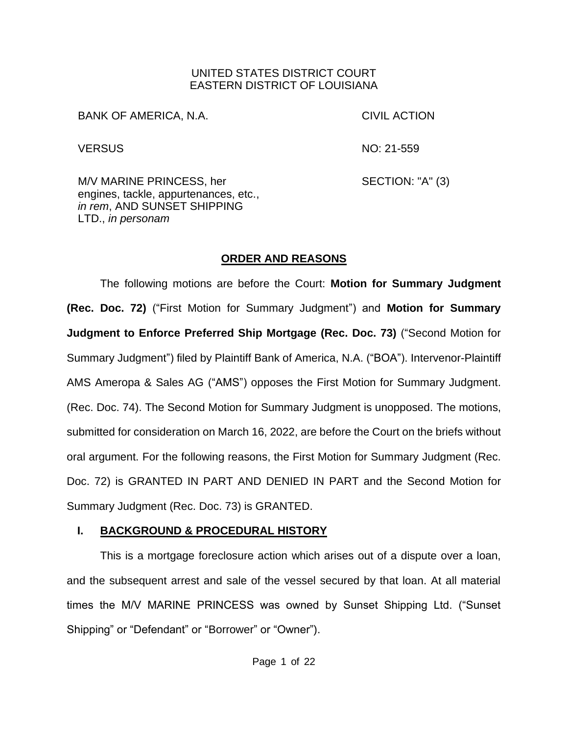### UNITED STATES DISTRICT COURT EASTERN DISTRICT OF LOUISIANA

BANK OF AMERICA, N.A. CIVIL ACTION

VERSUS NO: 21-559

M/V MARINE PRINCESS, her engines, tackle, appurtenances, etc., *in rem*, AND SUNSET SHIPPING LTD., *in personam*

SECTION: "A" (3)

# **ORDER AND REASONS**

The following motions are before the Court: **Motion for Summary Judgment (Rec. Doc. 72)** ("First Motion for Summary Judgment") and **Motion for Summary Judgment to Enforce Preferred Ship Mortgage (Rec. Doc. 73)** ("Second Motion for Summary Judgment") filed by Plaintiff Bank of America, N.A. ("BOA"). Intervenor-Plaintiff AMS Ameropa & Sales AG ("AMS") opposes the First Motion for Summary Judgment. (Rec. Doc. 74). The Second Motion for Summary Judgment is unopposed. The motions, submitted for consideration on March 16, 2022, are before the Court on the briefs without oral argument. For the following reasons, the First Motion for Summary Judgment (Rec. Doc. 72) is GRANTED IN PART AND DENIED IN PART and the Second Motion for Summary Judgment (Rec. Doc. 73) is GRANTED.

# **I. BACKGROUND & PROCEDURAL HISTORY**

This is a mortgage foreclosure action which arises out of a dispute over a loan, and the subsequent arrest and sale of the vessel secured by that loan. At all material times the M/V MARINE PRINCESS was owned by Sunset Shipping Ltd. ("Sunset Shipping" or "Defendant" or "Borrower" or "Owner").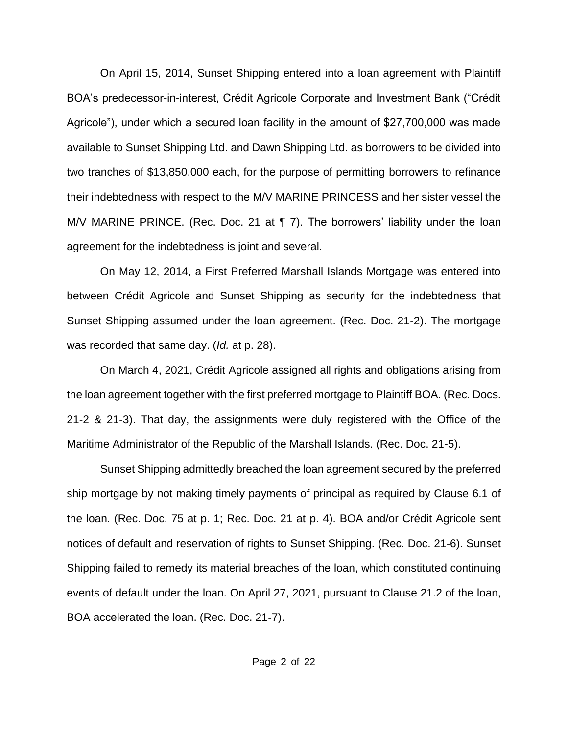On April 15, 2014, Sunset Shipping entered into a loan agreement with Plaintiff BOA's predecessor-in-interest, Crédit Agricole Corporate and Investment Bank ("Crédit Agricole"), under which a secured loan facility in the amount of \$27,700,000 was made available to Sunset Shipping Ltd. and Dawn Shipping Ltd. as borrowers to be divided into two tranches of \$13,850,000 each, for the purpose of permitting borrowers to refinance their indebtedness with respect to the M/V MARINE PRINCESS and her sister vessel the M/V MARINE PRINCE. (Rec. Doc. 21 at ¶ 7). The borrowers' liability under the loan agreement for the indebtedness is joint and several.

On May 12, 2014, a First Preferred Marshall Islands Mortgage was entered into between Crédit Agricole and Sunset Shipping as security for the indebtedness that Sunset Shipping assumed under the loan agreement. (Rec. Doc. 21-2). The mortgage was recorded that same day. (*Id.* at p. 28).

On March 4, 2021, Crédit Agricole assigned all rights and obligations arising from the loan agreement together with the first preferred mortgage to Plaintiff BOA. (Rec. Docs. 21-2 & 21-3). That day, the assignments were duly registered with the Office of the Maritime Administrator of the Republic of the Marshall Islands. (Rec. Doc. 21-5).

Sunset Shipping admittedly breached the loan agreement secured by the preferred ship mortgage by not making timely payments of principal as required by Clause 6.1 of the loan. (Rec. Doc. 75 at p. 1; Rec. Doc. 21 at p. 4). BOA and/or Crédit Agricole sent notices of default and reservation of rights to Sunset Shipping. (Rec. Doc. 21-6). Sunset Shipping failed to remedy its material breaches of the loan, which constituted continuing events of default under the loan. On April 27, 2021, pursuant to Clause 21.2 of the loan, BOA accelerated the loan. (Rec. Doc. 21-7).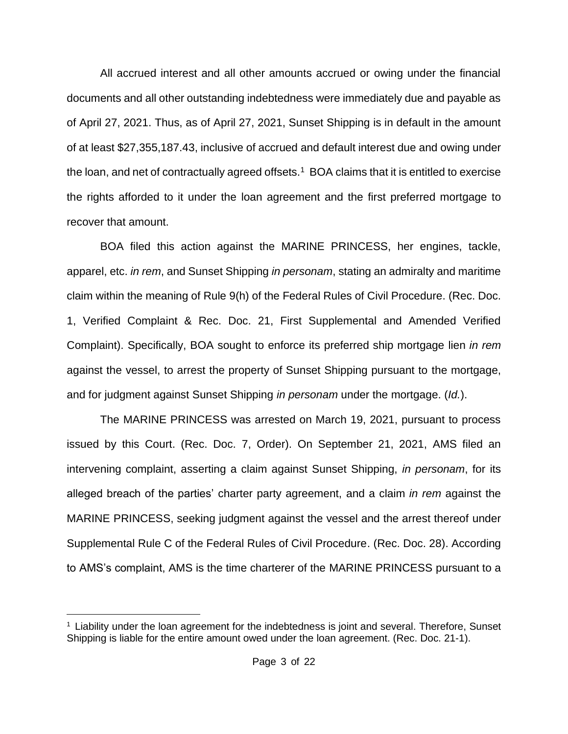All accrued interest and all other amounts accrued or owing under the financial documents and all other outstanding indebtedness were immediately due and payable as of April 27, 2021. Thus, as of April 27, 2021, Sunset Shipping is in default in the amount of at least \$27,355,187.43, inclusive of accrued and default interest due and owing under the loan, and net of contractually agreed offsets.<sup>1</sup> BOA claims that it is entitled to exercise the rights afforded to it under the loan agreement and the first preferred mortgage to recover that amount.

BOA filed this action against the MARINE PRINCESS, her engines, tackle, apparel, etc. *in rem*, and Sunset Shipping *in personam*, stating an admiralty and maritime claim within the meaning of Rule 9(h) of the Federal Rules of Civil Procedure. (Rec. Doc. 1, Verified Complaint & Rec. Doc. 21, First Supplemental and Amended Verified Complaint). Specifically, BOA sought to enforce its preferred ship mortgage lien *in rem*  against the vessel, to arrest the property of Sunset Shipping pursuant to the mortgage, and for judgment against Sunset Shipping *in personam* under the mortgage. (*Id.*).

The MARINE PRINCESS was arrested on March 19, 2021, pursuant to process issued by this Court. (Rec. Doc. 7, Order). On September 21, 2021, AMS filed an intervening complaint, asserting a claim against Sunset Shipping, *in personam*, for its alleged breach of the parties' charter party agreement, and a claim *in rem* against the MARINE PRINCESS, seeking judgment against the vessel and the arrest thereof under Supplemental Rule C of the Federal Rules of Civil Procedure. (Rec. Doc. 28). According to AMS's complaint, AMS is the time charterer of the MARINE PRINCESS pursuant to a

 $1$  Liability under the loan agreement for the indebtedness is joint and several. Therefore, Sunset Shipping is liable for the entire amount owed under the loan agreement. (Rec. Doc. 21-1).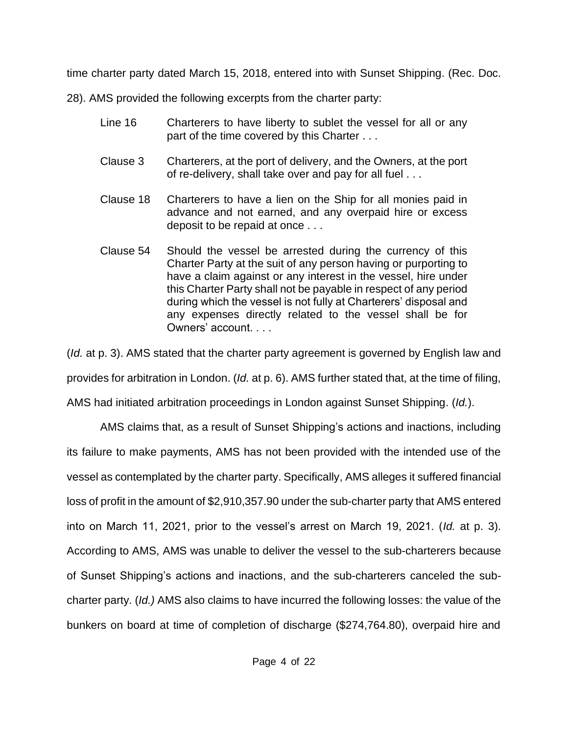time charter party dated March 15, 2018, entered into with Sunset Shipping. (Rec. Doc.

28). AMS provided the following excerpts from the charter party:

- Line 16 Charterers to have liberty to sublet the vessel for all or any part of the time covered by this Charter . . .
- Clause 3 Charterers, at the port of delivery, and the Owners, at the port of re-delivery, shall take over and pay for all fuel . . .
- Clause 18 Charterers to have a lien on the Ship for all monies paid in advance and not earned, and any overpaid hire or excess deposit to be repaid at once . . .
- Clause 54 Should the vessel be arrested during the currency of this Charter Party at the suit of any person having or purporting to have a claim against or any interest in the vessel, hire under this Charter Party shall not be payable in respect of any period during which the vessel is not fully at Charterers' disposal and any expenses directly related to the vessel shall be for Owners' account. . . .

(*Id.* at p. 3). AMS stated that the charter party agreement is governed by English law and provides for arbitration in London. (*Id.* at p. 6). AMS further stated that, at the time of filing,

AMS had initiated arbitration proceedings in London against Sunset Shipping. (*Id.*).

AMS claims that, as a result of Sunset Shipping's actions and inactions, including its failure to make payments, AMS has not been provided with the intended use of the vessel as contemplated by the charter party. Specifically, AMS alleges it suffered financial loss of profit in the amount of \$2,910,357.90 under the sub-charter party that AMS entered into on March 11, 2021, prior to the vessel's arrest on March 19, 2021. (*Id.* at p. 3). According to AMS, AMS was unable to deliver the vessel to the sub-charterers because of Sunset Shipping's actions and inactions, and the sub-charterers canceled the subcharter party. (*Id.)* AMS also claims to have incurred the following losses: the value of the bunkers on board at time of completion of discharge (\$274,764.80), overpaid hire and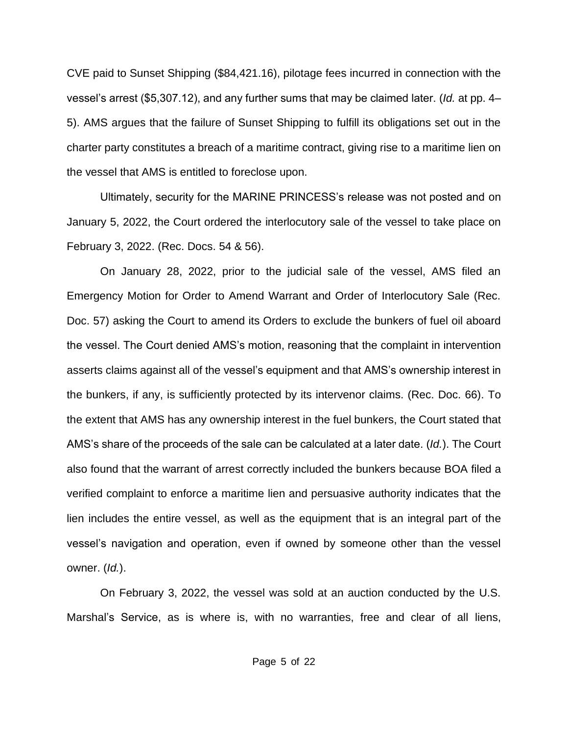CVE paid to Sunset Shipping (\$84,421.16), pilotage fees incurred in connection with the vessel's arrest (\$5,307.12), and any further sums that may be claimed later. (*Id.* at pp. 4– 5). AMS argues that the failure of Sunset Shipping to fulfill its obligations set out in the charter party constitutes a breach of a maritime contract, giving rise to a maritime lien on the vessel that AMS is entitled to foreclose upon.

Ultimately, security for the MARINE PRINCESS's release was not posted and on January 5, 2022, the Court ordered the interlocutory sale of the vessel to take place on February 3, 2022. (Rec. Docs. 54 & 56).

On January 28, 2022, prior to the judicial sale of the vessel, AMS filed an Emergency Motion for Order to Amend Warrant and Order of Interlocutory Sale (Rec. Doc. 57) asking the Court to amend its Orders to exclude the bunkers of fuel oil aboard the vessel. The Court denied AMS's motion, reasoning that the complaint in intervention asserts claims against all of the vessel's equipment and that AMS's ownership interest in the bunkers, if any, is sufficiently protected by its intervenor claims. (Rec. Doc. 66). To the extent that AMS has any ownership interest in the fuel bunkers, the Court stated that AMS's share of the proceeds of the sale can be calculated at a later date. (*Id.*). The Court also found that the warrant of arrest correctly included the bunkers because BOA filed a verified complaint to enforce a maritime lien and persuasive authority indicates that the lien includes the entire vessel, as well as the equipment that is an integral part of the vessel's navigation and operation, even if owned by someone other than the vessel owner. (*Id.*).

On February 3, 2022, the vessel was sold at an auction conducted by the U.S. Marshal's Service, as is where is, with no warranties, free and clear of all liens,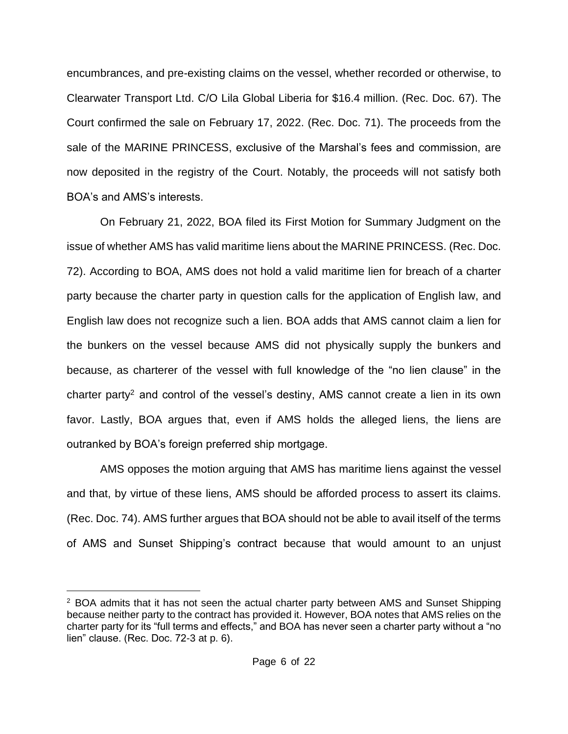encumbrances, and pre-existing claims on the vessel, whether recorded or otherwise, to Clearwater Transport Ltd. C/O Lila Global Liberia for \$16.4 million. (Rec. Doc. 67). The Court confirmed the sale on February 17, 2022. (Rec. Doc. 71). The proceeds from the sale of the MARINE PRINCESS, exclusive of the Marshal's fees and commission, are now deposited in the registry of the Court. Notably, the proceeds will not satisfy both BOA's and AMS's interests.

On February 21, 2022, BOA filed its First Motion for Summary Judgment on the issue of whether AMS has valid maritime liens about the MARINE PRINCESS. (Rec. Doc. 72). According to BOA, AMS does not hold a valid maritime lien for breach of a charter party because the charter party in question calls for the application of English law, and English law does not recognize such a lien. BOA adds that AMS cannot claim a lien for the bunkers on the vessel because AMS did not physically supply the bunkers and because, as charterer of the vessel with full knowledge of the "no lien clause" in the charter party<sup>2</sup> and control of the vessel's destiny, AMS cannot create a lien in its own favor. Lastly, BOA argues that, even if AMS holds the alleged liens, the liens are outranked by BOA's foreign preferred ship mortgage.

AMS opposes the motion arguing that AMS has maritime liens against the vessel and that, by virtue of these liens, AMS should be afforded process to assert its claims. (Rec. Doc. 74). AMS further argues that BOA should not be able to avail itself of the terms of AMS and Sunset Shipping's contract because that would amount to an unjust

 $2$  BOA admits that it has not seen the actual charter party between AMS and Sunset Shipping because neither party to the contract has provided it. However, BOA notes that AMS relies on the charter party for its "full terms and effects," and BOA has never seen a charter party without a "no lien" clause. (Rec. Doc. 72-3 at p. 6).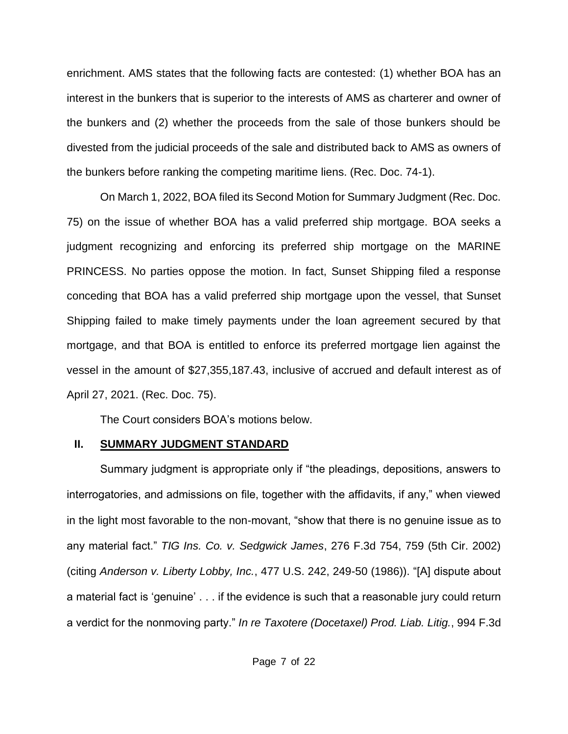enrichment. AMS states that the following facts are contested: (1) whether BOA has an interest in the bunkers that is superior to the interests of AMS as charterer and owner of the bunkers and (2) whether the proceeds from the sale of those bunkers should be divested from the judicial proceeds of the sale and distributed back to AMS as owners of the bunkers before ranking the competing maritime liens. (Rec. Doc. 74-1).

On March 1, 2022, BOA filed its Second Motion for Summary Judgment (Rec. Doc. 75) on the issue of whether BOA has a valid preferred ship mortgage. BOA seeks a judgment recognizing and enforcing its preferred ship mortgage on the MARINE PRINCESS. No parties oppose the motion. In fact, Sunset Shipping filed a response conceding that BOA has a valid preferred ship mortgage upon the vessel, that Sunset Shipping failed to make timely payments under the loan agreement secured by that mortgage, and that BOA is entitled to enforce its preferred mortgage lien against the vessel in the amount of \$27,355,187.43, inclusive of accrued and default interest as of April 27, 2021. (Rec. Doc. 75).

The Court considers BOA's motions below.

### **II. SUMMARY JUDGMENT STANDARD**

Summary judgment is appropriate only if "the pleadings, depositions, answers to interrogatories, and admissions on file, together with the affidavits, if any," when viewed in the light most favorable to the non-movant, "show that there is no genuine issue as to any material fact." *TIG Ins. Co. v. Sedgwick James*, 276 F.3d 754, 759 (5th Cir. 2002) (citing *Anderson v. Liberty Lobby, Inc.*, 477 U.S. 242, 249-50 (1986)). "[A] dispute about a material fact is 'genuine' . . . if the evidence is such that a reasonable jury could return a verdict for the nonmoving party." *In re Taxotere (Docetaxel) Prod. Liab. Litig.*, 994 F.3d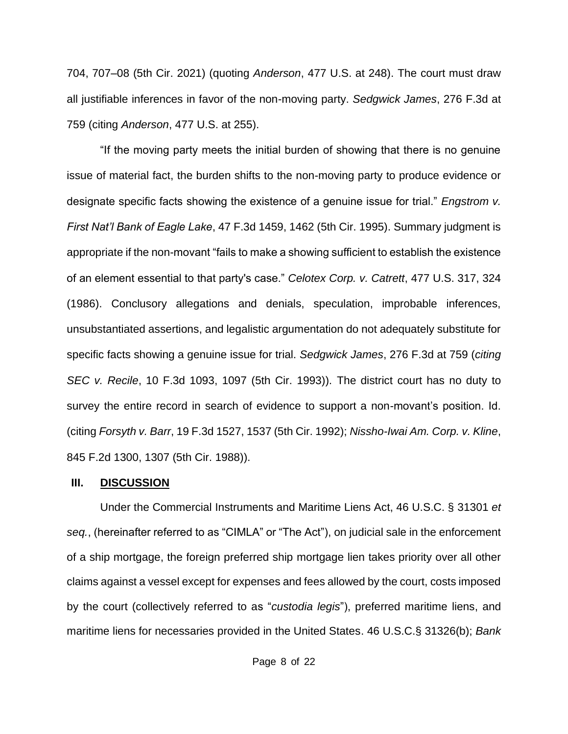704, 707–08 (5th Cir. 2021) (quoting *Anderson*, 477 U.S. at 248). The court must draw all justifiable inferences in favor of the non-moving party. *Sedgwick James*, 276 F.3d at 759 (citing *Anderson*, 477 U.S. at 255).

"If the moving party meets the initial burden of showing that there is no genuine issue of material fact, the burden shifts to the non-moving party to produce evidence or designate specific facts showing the existence of a genuine issue for trial." *Engstrom v. First Nat'l Bank of Eagle Lake*, 47 F.3d 1459, 1462 (5th Cir. 1995). Summary judgment is appropriate if the non-movant "fails to make a showing sufficient to establish the existence of an element essential to that party's case." *Celotex Corp. v. Catrett*, 477 U.S. 317, 324 (1986). Conclusory allegations and denials, speculation, improbable inferences, unsubstantiated assertions, and legalistic argumentation do not adequately substitute for specific facts showing a genuine issue for trial. *Sedgwick James*, 276 F.3d at 759 (*citing SEC v. Recile*, 10 F.3d 1093, 1097 (5th Cir. 1993)). The district court has no duty to survey the entire record in search of evidence to support a non-movant's position. Id. (citing *Forsyth v. Barr*, 19 F.3d 1527, 1537 (5th Cir. 1992); *Nissho-Iwai Am. Corp. v. Kline*, 845 F.2d 1300, 1307 (5th Cir. 1988)).

#### **III. DISCUSSION**

Under the Commercial Instruments and Maritime Liens Act, 46 U.S.C. § 31301 *et seq.*, (hereinafter referred to as "CIMLA" or "The Act"), on judicial sale in the enforcement of a ship mortgage, the foreign preferred ship mortgage lien takes priority over all other claims against a vessel except for expenses and fees allowed by the court, costs imposed by the court (collectively referred to as "*custodia legis*"), preferred maritime liens, and maritime liens for necessaries provided in the United States. 46 U.S.C.§ 31326(b); *Bank*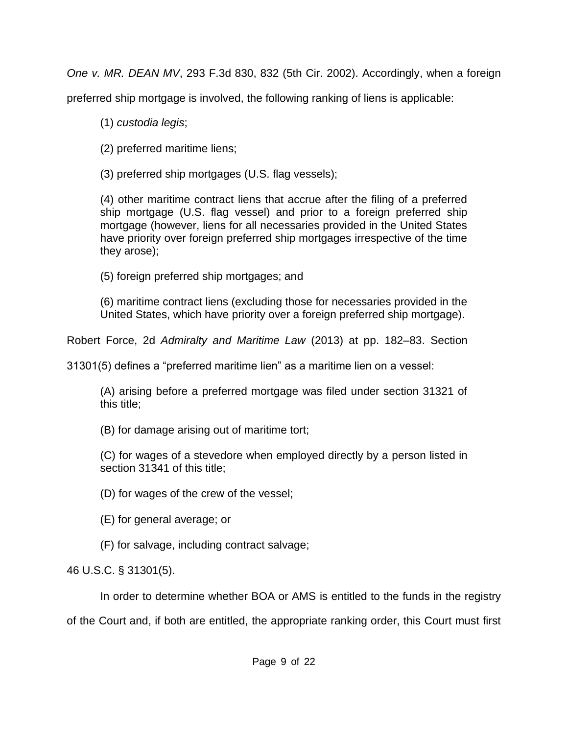*One v. MR. DEAN MV*, 293 F.3d 830, 832 (5th Cir. 2002). Accordingly, when a foreign

preferred ship mortgage is involved, the following ranking of liens is applicable:

(1) *custodia legis*;

(2) preferred maritime liens;

(3) preferred ship mortgages (U.S. flag vessels);

(4) other maritime contract liens that accrue after the filing of a preferred ship mortgage (U.S. flag vessel) and prior to a foreign preferred ship mortgage (however, liens for all necessaries provided in the United States have priority over foreign preferred ship mortgages irrespective of the time they arose);

(5) foreign preferred ship mortgages; and

(6) maritime contract liens (excluding those for necessaries provided in the United States, which have priority over a foreign preferred ship mortgage).

Robert Force, 2d *Admiralty and Maritime Law* (2013) at pp. 182–83. Section

31301(5) defines a "preferred maritime lien" as a maritime lien on a vessel:

(A) arising before a preferred mortgage was filed under section 31321 of this title;

(B) for damage arising out of maritime tort;

(C) for wages of a stevedore when employed directly by a person listed in section 31341 of this title;

(D) for wages of the crew of the vessel;

(E) for general average; or

(F) for salvage, including contract salvage;

46 U.S.C. § 31301(5).

In order to determine whether BOA or AMS is entitled to the funds in the registry

of the Court and, if both are entitled, the appropriate ranking order, this Court must first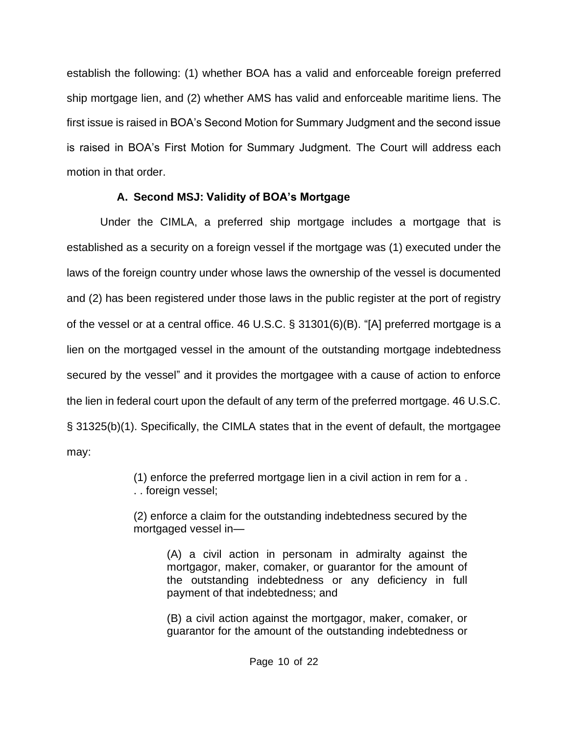establish the following: (1) whether BOA has a valid and enforceable foreign preferred ship mortgage lien, and (2) whether AMS has valid and enforceable maritime liens. The first issue is raised in BOA's Second Motion for Summary Judgment and the second issue is raised in BOA's First Motion for Summary Judgment. The Court will address each motion in that order.

# **A. Second MSJ: Validity of BOA's Mortgage**

Under the CIMLA, a preferred ship mortgage includes a mortgage that is established as a security on a foreign vessel if the mortgage was (1) executed under the laws of the foreign country under whose laws the ownership of the vessel is documented and (2) has been registered under those laws in the public register at the port of registry of the vessel or at a central office. 46 U.S.C. § 31301(6)(B). "[A] preferred mortgage is a lien on the mortgaged vessel in the amount of the outstanding mortgage indebtedness secured by the vessel" and it provides the mortgagee with a cause of action to enforce the lien in federal court upon the default of any term of the preferred mortgage. 46 U.S.C. § 31325(b)(1). Specifically, the CIMLA states that in the event of default, the mortgagee may:

> (1) enforce the preferred mortgage lien in a civil action in rem for a . . . foreign vessel;

> (2) enforce a claim for the outstanding indebtedness secured by the mortgaged vessel in—

(A) a civil action in personam in admiralty against the mortgagor, maker, comaker, or guarantor for the amount of the outstanding indebtedness or any deficiency in full payment of that indebtedness; and

(B) a civil action against the mortgagor, maker, comaker, or guarantor for the amount of the outstanding indebtedness or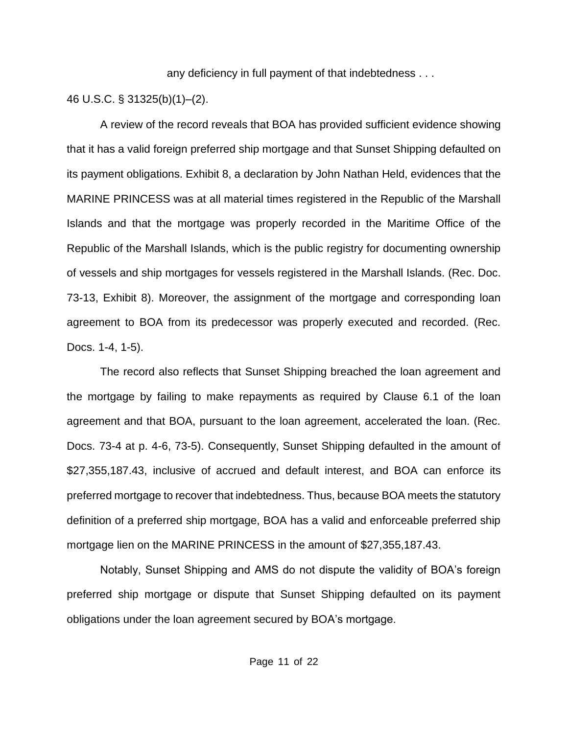any deficiency in full payment of that indebtedness . . .

46 U.S.C. § 31325(b)(1)–(2).

A review of the record reveals that BOA has provided sufficient evidence showing that it has a valid foreign preferred ship mortgage and that Sunset Shipping defaulted on its payment obligations. Exhibit 8, a declaration by John Nathan Held, evidences that the MARINE PRINCESS was at all material times registered in the Republic of the Marshall Islands and that the mortgage was properly recorded in the Maritime Office of the Republic of the Marshall Islands, which is the public registry for documenting ownership of vessels and ship mortgages for vessels registered in the Marshall Islands. (Rec. Doc. 73-13, Exhibit 8). Moreover, the assignment of the mortgage and corresponding loan agreement to BOA from its predecessor was properly executed and recorded. (Rec. Docs. 1-4, 1-5).

The record also reflects that Sunset Shipping breached the loan agreement and the mortgage by failing to make repayments as required by Clause 6.1 of the loan agreement and that BOA, pursuant to the loan agreement, accelerated the loan. (Rec. Docs. 73-4 at p. 4-6, 73-5). Consequently, Sunset Shipping defaulted in the amount of \$27,355,187.43, inclusive of accrued and default interest, and BOA can enforce its preferred mortgage to recover that indebtedness. Thus, because BOA meets the statutory definition of a preferred ship mortgage, BOA has a valid and enforceable preferred ship mortgage lien on the MARINE PRINCESS in the amount of \$27,355,187.43.

Notably, Sunset Shipping and AMS do not dispute the validity of BOA's foreign preferred ship mortgage or dispute that Sunset Shipping defaulted on its payment obligations under the loan agreement secured by BOA's mortgage.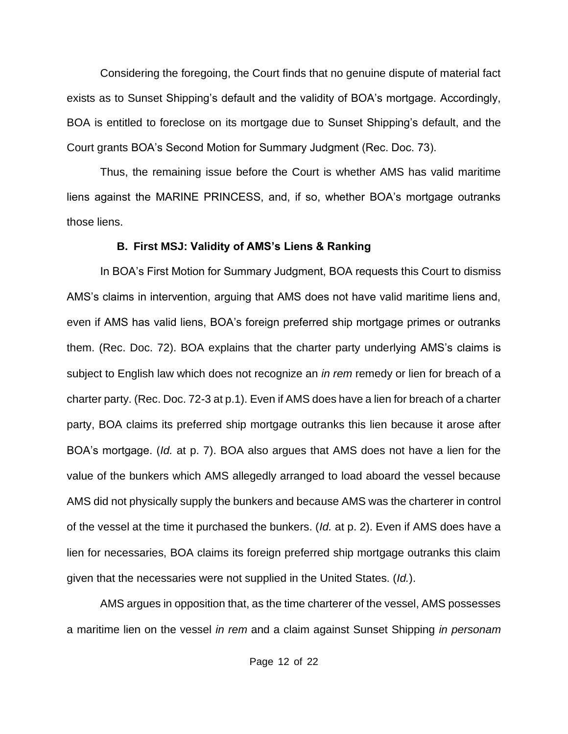Considering the foregoing, the Court finds that no genuine dispute of material fact exists as to Sunset Shipping's default and the validity of BOA's mortgage. Accordingly, BOA is entitled to foreclose on its mortgage due to Sunset Shipping's default, and the Court grants BOA's Second Motion for Summary Judgment (Rec. Doc. 73).

Thus, the remaining issue before the Court is whether AMS has valid maritime liens against the MARINE PRINCESS, and, if so, whether BOA's mortgage outranks those liens.

### **B. First MSJ: Validity of AMS's Liens & Ranking**

In BOA's First Motion for Summary Judgment, BOA requests this Court to dismiss AMS's claims in intervention, arguing that AMS does not have valid maritime liens and, even if AMS has valid liens, BOA's foreign preferred ship mortgage primes or outranks them. (Rec. Doc. 72). BOA explains that the charter party underlying AMS's claims is subject to English law which does not recognize an *in rem* remedy or lien for breach of a charter party. (Rec. Doc. 72-3 at p.1). Even if AMS does have a lien for breach of a charter party, BOA claims its preferred ship mortgage outranks this lien because it arose after BOA's mortgage. (*Id.* at p. 7). BOA also argues that AMS does not have a lien for the value of the bunkers which AMS allegedly arranged to load aboard the vessel because AMS did not physically supply the bunkers and because AMS was the charterer in control of the vessel at the time it purchased the bunkers. (*Id.* at p. 2). Even if AMS does have a lien for necessaries, BOA claims its foreign preferred ship mortgage outranks this claim given that the necessaries were not supplied in the United States. (*Id.*).

AMS argues in opposition that, as the time charterer of the vessel, AMS possesses a maritime lien on the vessel *in rem* and a claim against Sunset Shipping *in personam*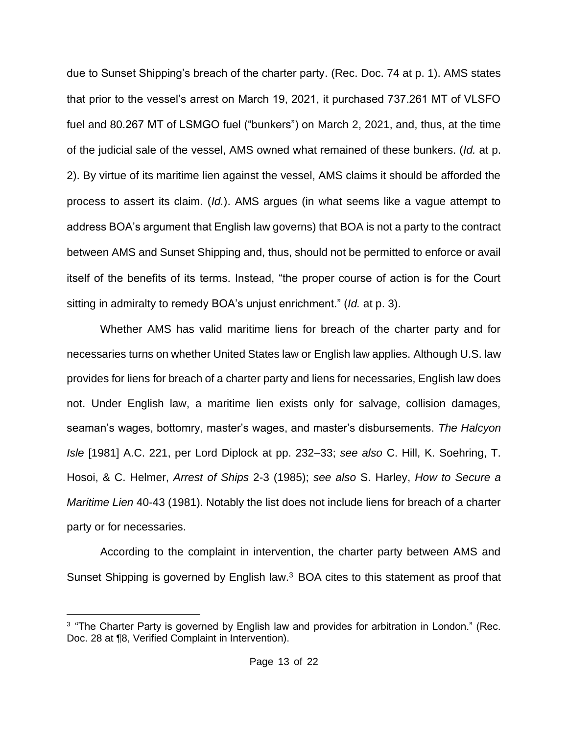due to Sunset Shipping's breach of the charter party. (Rec. Doc. 74 at p. 1). AMS states that prior to the vessel's arrest on March 19, 2021, it purchased 737.261 MT of VLSFO fuel and 80.267 MT of LSMGO fuel ("bunkers") on March 2, 2021, and, thus, at the time of the judicial sale of the vessel, AMS owned what remained of these bunkers. (*Id.* at p. 2). By virtue of its maritime lien against the vessel, AMS claims it should be afforded the process to assert its claim. (*Id.*). AMS argues (in what seems like a vague attempt to address BOA's argument that English law governs) that BOA is not a party to the contract between AMS and Sunset Shipping and, thus, should not be permitted to enforce or avail itself of the benefits of its terms. Instead, "the proper course of action is for the Court sitting in admiralty to remedy BOA's unjust enrichment." (*Id.* at p. 3).

Whether AMS has valid maritime liens for breach of the charter party and for necessaries turns on whether United States law or English law applies. Although U.S. law provides for liens for breach of a charter party and liens for necessaries, English law does not. Under English law, a maritime lien exists only for salvage, collision damages, seaman's wages, bottomry, master's wages, and master's disbursements. *The Halcyon Isle* [1981] A.C. 221, per Lord Diplock at pp. 232–33; *see also* C. Hill, K. Soehring, T. Hosoi, & C. Helmer, *Arrest of Ships* 2-3 (1985); *see also* S. Harley, *How to Secure a Maritime Lien* 40-43 (1981). Notably the list does not include liens for breach of a charter party or for necessaries.

According to the complaint in intervention, the charter party between AMS and Sunset Shipping is governed by English law.<sup>3</sup> BOA cites to this statement as proof that

<sup>&</sup>lt;sup>3</sup> "The Charter Party is governed by English law and provides for arbitration in London." (Rec. Doc. 28 at ¶8, Verified Complaint in Intervention).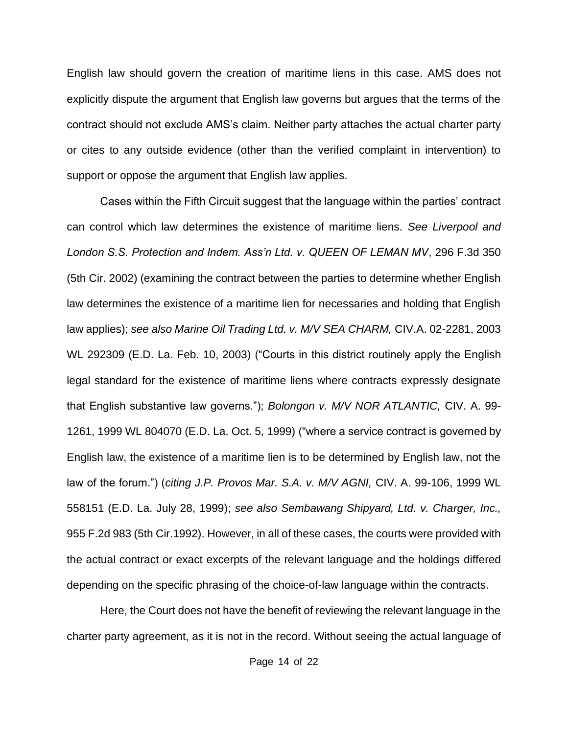English law should govern the creation of maritime liens in this case. AMS does not explicitly dispute the argument that English law governs but argues that the terms of the contract should not exclude AMS's claim. Neither party attaches the actual charter party or cites to any outside evidence (other than the verified complaint in intervention) to support or oppose the argument that English law applies.

Cases within the Fifth Circuit suggest that the language within the parties' contract can control which law determines the existence of maritime liens. *See Liverpool and London S.S. Protection and Indem. Ass'n Ltd. v. QUEEN OF LEMAN MV*, 296 F.3d 350 (5th Cir. 2002) (examining the contract between the parties to determine whether English law determines the existence of a maritime lien for necessaries and holding that English law applies); *see also Marine Oil Trading Ltd. v. M/V SEA CHARM,* CIV.A. 02-2281, 2003 WL 292309 (E.D. La. Feb. 10, 2003) ("Courts in this district routinely apply the English legal standard for the existence of maritime liens where contracts expressly designate that English substantive law governs."); *Bolongon v. M/V NOR ATLANTIC,* CIV. A. 99- 1261, 1999 WL 804070 (E.D. La. Oct. 5, 1999) ("where a service contract is governed by English law, the existence of a maritime lien is to be determined by English law, not the law of the forum.") (*citing J.P. Provos Mar. S.A. v. M/V AGNI,* CIV. A. 99-106, 1999 WL 558151 (E.D. La. July 28, 1999); *see also Sembawang Shipyard, Ltd. v. Charger, Inc.,*  955 F.2d 983 (5th Cir.1992). However, in all of these cases, the courts were provided with the actual contract or exact excerpts of the relevant language and the holdings differed depending on the specific phrasing of the choice-of-law language within the contracts.

Here, the Court does not have the benefit of reviewing the relevant language in the charter party agreement, as it is not in the record. Without seeing the actual language of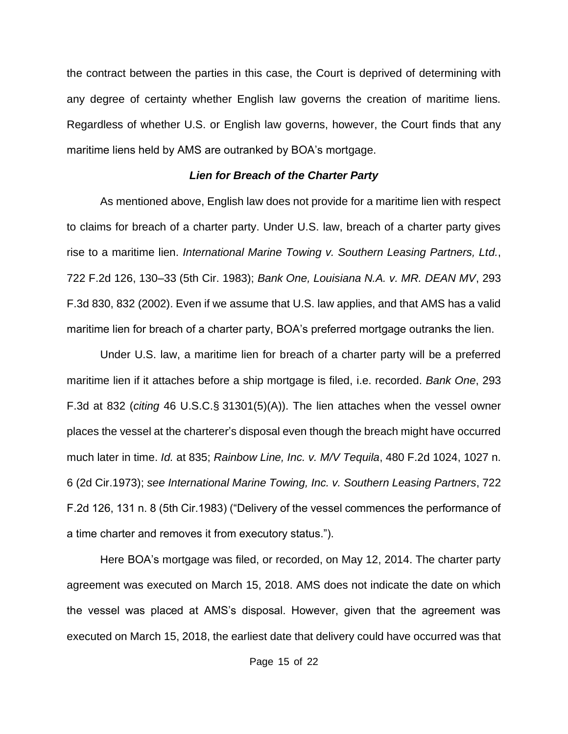the contract between the parties in this case, the Court is deprived of determining with any degree of certainty whether English law governs the creation of maritime liens. Regardless of whether U.S. or English law governs, however, the Court finds that any maritime liens held by AMS are outranked by BOA's mortgage.

### *Lien for Breach of the Charter Party*

As mentioned above, English law does not provide for a maritime lien with respect to claims for breach of a charter party. Under U.S. law, breach of a charter party gives rise to a maritime lien. *International Marine Towing v. Southern Leasing Partners, Ltd.*, 722 F.2d 126, 130–33 (5th Cir. 1983); *Bank One, Louisiana N.A. v. MR. DEAN MV*, 293 F.3d 830, 832 (2002). Even if we assume that U.S. law applies, and that AMS has a valid maritime lien for breach of a charter party, BOA's preferred mortgage outranks the lien.

Under U.S. law, a maritime lien for breach of a charter party will be a preferred maritime lien if it attaches before a ship mortgage is filed, i.e. recorded. *Bank One*, 293 F.3d at 832 (*citing* 46 U.S.C.§ 31301(5)(A)). The lien attaches when the vessel owner places the vessel at the charterer's disposal even though the breach might have occurred much later in time. *Id.* at 835; *Rainbow Line, Inc. v. M/V Tequila*, 480 F.2d 1024, 1027 n. 6 (2d Cir.1973); *see International Marine Towing, Inc. v. Southern Leasing Partners*, 722 F.2d 126, 131 n. 8 (5th Cir.1983) ("Delivery of the vessel commences the performance of a time charter and removes it from executory status.").

Here BOA's mortgage was filed, or recorded, on May 12, 2014. The charter party agreement was executed on March 15, 2018. AMS does not indicate the date on which the vessel was placed at AMS's disposal. However, given that the agreement was executed on March 15, 2018, the earliest date that delivery could have occurred was that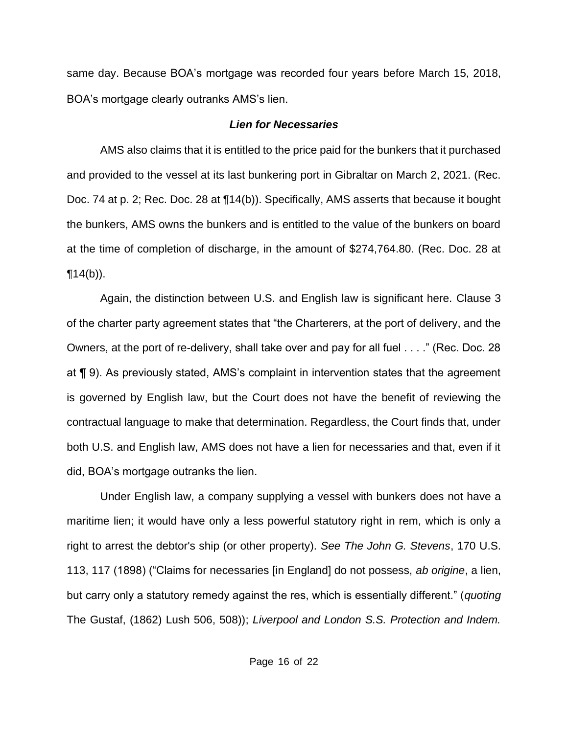same day. Because BOA's mortgage was recorded four years before March 15, 2018, BOA's mortgage clearly outranks AMS's lien.

## *Lien for Necessaries*

AMS also claims that it is entitled to the price paid for the bunkers that it purchased and provided to the vessel at its last bunkering port in Gibraltar on March 2, 2021. (Rec. Doc. 74 at p. 2; Rec. Doc. 28 at ¶14(b)). Specifically, AMS asserts that because it bought the bunkers, AMS owns the bunkers and is entitled to the value of the bunkers on board at the time of completion of discharge, in the amount of \$274,764.80. (Rec. Doc. 28 at  $\P(14(b))$ .

Again, the distinction between U.S. and English law is significant here. Clause 3 of the charter party agreement states that "the Charterers, at the port of delivery, and the Owners, at the port of re-delivery, shall take over and pay for all fuel . . . ." (Rec. Doc. 28 at ¶ 9). As previously stated, AMS's complaint in intervention states that the agreement is governed by English law, but the Court does not have the benefit of reviewing the contractual language to make that determination. Regardless, the Court finds that, under both U.S. and English law, AMS does not have a lien for necessaries and that, even if it did, BOA's mortgage outranks the lien.

Under English law, a company supplying a vessel with bunkers does not have a maritime lien; it would have only a less powerful statutory right in rem, which is only a right to arrest the debtor's ship (or other property). *See The John G. Stevens*, 170 U.S. 113, 117 (1898) ("Claims for necessaries [in England] do not possess, *ab origine*, a lien, but carry only a statutory remedy against the res, which is essentially different." (*quoting* The Gustaf, (1862) Lush 506, 508)); *Liverpool and London S.S. Protection and Indem.*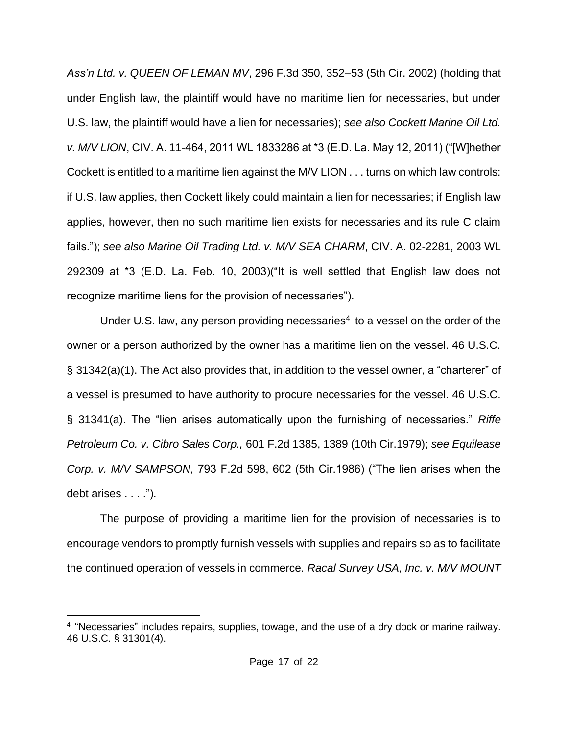*Ass'n Ltd. v. QUEEN OF LEMAN MV*, 296 F.3d 350, 352–53 (5th Cir. 2002) (holding that under English law, the plaintiff would have no maritime lien for necessaries, but under U.S. law, the plaintiff would have a lien for necessaries); *see also Cockett Marine Oil Ltd. v. M/V LION*, CIV. A. 11-464, 2011 WL 1833286 at \*3 (E.D. La. May 12, 2011) ("[W]hether Cockett is entitled to a maritime lien against the M/V LION . . . turns on which law controls: if U.S. law applies, then Cockett likely could maintain a lien for necessaries; if English law applies, however, then no such maritime lien exists for necessaries and its rule C claim fails."); *see also Marine Oil Trading Ltd. v. M/V SEA CHARM*, CIV. A. 02-2281, 2003 WL 292309 at \*3 (E.D. La. Feb. 10, 2003)("It is well settled that English law does not recognize maritime liens for the provision of necessaries").

Under U.S. law, any person providing necessaries $4$  to a vessel on the order of the owner or a person authorized by the owner has a maritime lien on the vessel. 46 U.S.C. § 31342(a)(1). The Act also provides that, in addition to the vessel owner, a "charterer" of a vessel is presumed to have authority to procure necessaries for the vessel. 46 U.S.C. § 31341(a). The "lien arises automatically upon the furnishing of necessaries." *Riffe Petroleum Co. v. Cibro Sales Corp.,* 601 F.2d 1385, 1389 (10th Cir.1979); *see Equilease Corp. v. M/V SAMPSON,* 793 F.2d 598, 602 (5th Cir.1986) ("The lien arises when the debt arises . . . .").

The purpose of providing a maritime lien for the provision of necessaries is to encourage vendors to promptly furnish vessels with supplies and repairs so as to facilitate the continued operation of vessels in commerce. *Racal Survey USA, Inc. v. M/V MOUNT* 

<sup>&</sup>lt;sup>4</sup> "Necessaries" includes repairs, supplies, towage, and the use of a dry dock or marine railway. 46 U.S.C. § 31301(4).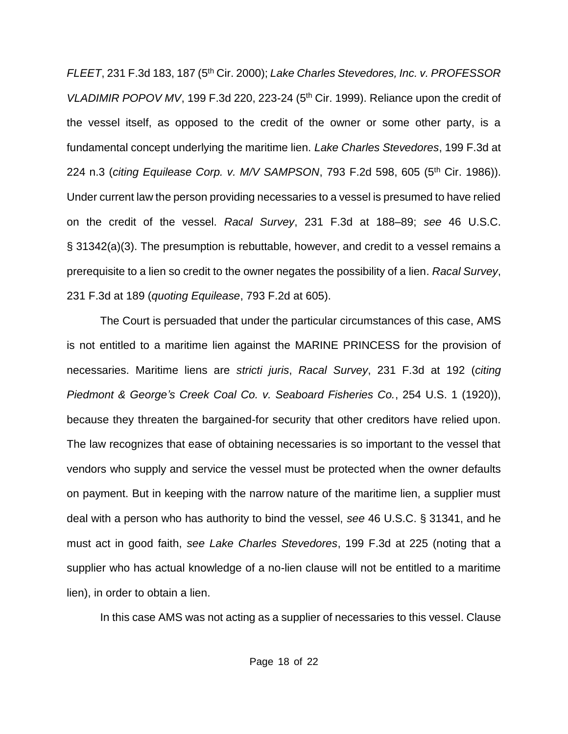*FLEET*, 231 F.3d 183, 187 (5th Cir. 2000); *Lake Charles Stevedores, Inc. v. PROFESSOR VLADIMIR POPOV MV*, 199 F.3d 220, 223-24 (5<sup>th</sup> Cir. 1999). Reliance upon the credit of the vessel itself, as opposed to the credit of the owner or some other party, is a fundamental concept underlying the maritime lien. *Lake Charles Stevedores*, 199 F.3d at 224 n.3 (*citing Equilease Corp. v. M/V SAMPSON*, 793 F.2d 598, 605 (5th Cir. 1986)). Under current law the person providing necessaries to a vessel is presumed to have relied on the credit of the vessel. *Racal Survey*, 231 F.3d at 188–89; *see* 46 U.S.C. § 31342(a)(3). The presumption is rebuttable, however, and credit to a vessel remains a prerequisite to a lien so credit to the owner negates the possibility of a lien. *Racal Survey*, 231 F.3d at 189 (*quoting Equilease*, 793 F.2d at 605).

The Court is persuaded that under the particular circumstances of this case, AMS is not entitled to a maritime lien against the MARINE PRINCESS for the provision of necessaries. Maritime liens are *stricti juris*, *Racal Survey*, 231 F.3d at 192 (*citing Piedmont & George's Creek Coal Co. v. Seaboard Fisheries Co.*, 254 U.S. 1 (1920)), because they threaten the bargained-for security that other creditors have relied upon. The law recognizes that ease of obtaining necessaries is so important to the vessel that vendors who supply and service the vessel must be protected when the owner defaults on payment. But in keeping with the narrow nature of the maritime lien, a supplier must deal with a person who has authority to bind the vessel, *see* 46 U.S.C. § 31341, and he must act in good faith, *see Lake Charles Stevedores*, 199 F.3d at 225 (noting that a supplier who has actual knowledge of a no-lien clause will not be entitled to a maritime lien), in order to obtain a lien.

In this case AMS was not acting as a supplier of necessaries to this vessel. Clause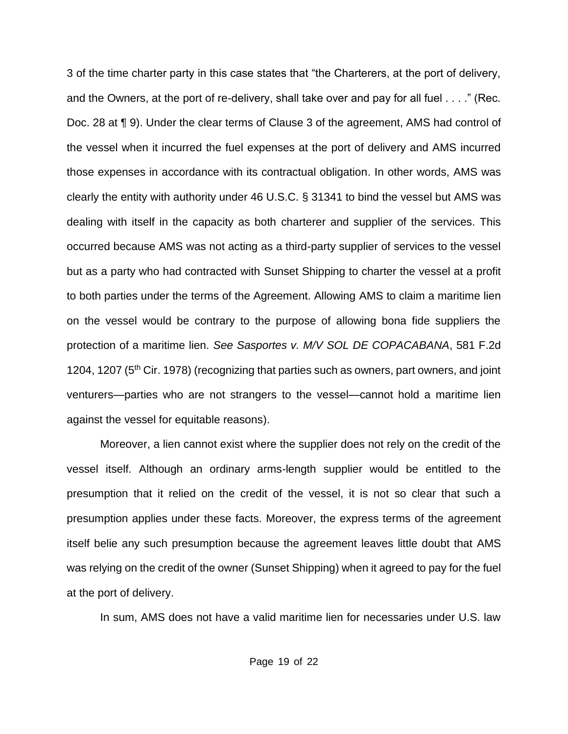3 of the time charter party in this case states that "the Charterers, at the port of delivery, and the Owners, at the port of re-delivery, shall take over and pay for all fuel . . . ." (Rec. Doc. 28 at ¶ 9). Under the clear terms of Clause 3 of the agreement, AMS had control of the vessel when it incurred the fuel expenses at the port of delivery and AMS incurred those expenses in accordance with its contractual obligation. In other words, AMS was clearly the entity with authority under 46 U.S.C. § 31341 to bind the vessel but AMS was dealing with itself in the capacity as both charterer and supplier of the services. This occurred because AMS was not acting as a third-party supplier of services to the vessel but as a party who had contracted with Sunset Shipping to charter the vessel at a profit to both parties under the terms of the Agreement. Allowing AMS to claim a maritime lien on the vessel would be contrary to the purpose of allowing bona fide suppliers the protection of a maritime lien. *See Sasportes v. M/V SOL DE COPACABANA*, 581 F.2d 1204, 1207 (5<sup>th</sup> Cir. 1978) (recognizing that parties such as owners, part owners, and joint venturers—parties who are not strangers to the vessel—cannot hold a maritime lien against the vessel for equitable reasons).

Moreover, a lien cannot exist where the supplier does not rely on the credit of the vessel itself. Although an ordinary arms-length supplier would be entitled to the presumption that it relied on the credit of the vessel, it is not so clear that such a presumption applies under these facts. Moreover, the express terms of the agreement itself belie any such presumption because the agreement leaves little doubt that AMS was relying on the credit of the owner (Sunset Shipping) when it agreed to pay for the fuel at the port of delivery.

In sum, AMS does not have a valid maritime lien for necessaries under U.S. law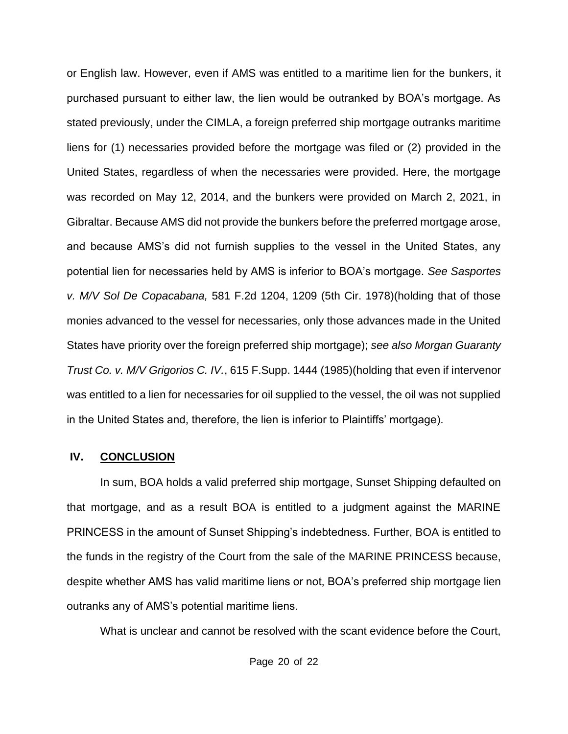or English law. However, even if AMS was entitled to a maritime lien for the bunkers, it purchased pursuant to either law, the lien would be outranked by BOA's mortgage. As stated previously, under the CIMLA, a foreign preferred ship mortgage outranks maritime liens for (1) necessaries provided before the mortgage was filed or (2) provided in the United States, regardless of when the necessaries were provided. Here, the mortgage was recorded on May 12, 2014, and the bunkers were provided on March 2, 2021, in Gibraltar. Because AMS did not provide the bunkers before the preferred mortgage arose, and because AMS's did not furnish supplies to the vessel in the United States, any potential lien for necessaries held by AMS is inferior to BOA's mortgage. *See Sasportes v. M/V Sol De Copacabana,* 581 F.2d 1204, 1209 (5th Cir. 1978)(holding that of those monies advanced to the vessel for necessaries, only those advances made in the United States have priority over the foreign preferred ship mortgage); *see also Morgan Guaranty Trust Co. v. M/V Grigorios C. IV.*, 615 F.Supp. 1444 (1985)(holding that even if intervenor was entitled to a lien for necessaries for oil supplied to the vessel, the oil was not supplied in the United States and, therefore, the lien is inferior to Plaintiffs' mortgage).

#### **IV. CONCLUSION**

In sum, BOA holds a valid preferred ship mortgage, Sunset Shipping defaulted on that mortgage, and as a result BOA is entitled to a judgment against the MARINE PRINCESS in the amount of Sunset Shipping's indebtedness. Further, BOA is entitled to the funds in the registry of the Court from the sale of the MARINE PRINCESS because, despite whether AMS has valid maritime liens or not, BOA's preferred ship mortgage lien outranks any of AMS's potential maritime liens.

What is unclear and cannot be resolved with the scant evidence before the Court,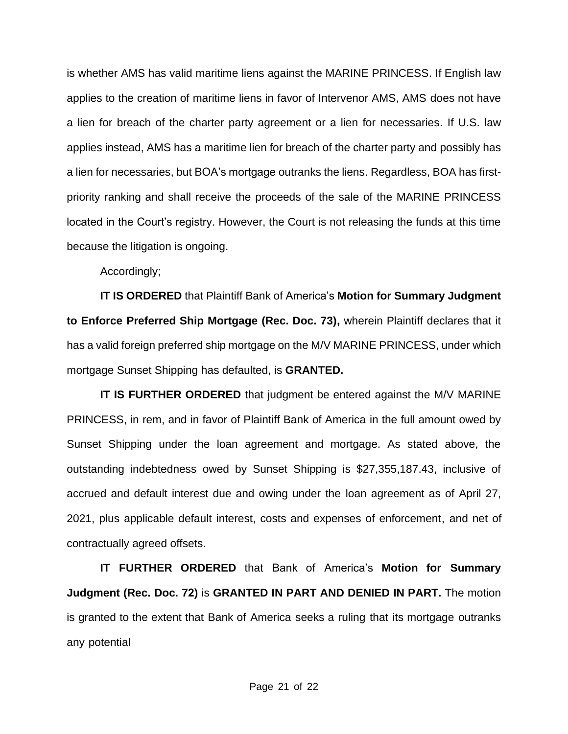is whether AMS has valid maritime liens against the MARINE PRINCESS. If English law applies to the creation of maritime liens in favor of Intervenor AMS, AMS does not have a lien for breach of the charter party agreement or a lien for necessaries. If U.S. law applies instead, AMS has a maritime lien for breach of the charter party and possibly has a lien for necessaries, but BOA's mortgage outranks the liens. Regardless, BOA has firstpriority ranking and shall receive the proceeds of the sale of the MARINE PRINCESS located in the Court's registry. However, the Court is not releasing the funds at this time because the litigation is ongoing.

Accordingly;

**IT IS ORDERED** that Plaintiff Bank of America's **Motion for Summary Judgment to Enforce Preferred Ship Mortgage (Rec. Doc. 73),** wherein Plaintiff declares that it has a valid foreign preferred ship mortgage on the M/V MARINE PRINCESS, under which mortgage Sunset Shipping has defaulted, is **GRANTED.**

**IT IS FURTHER ORDERED** that judgment be entered against the M/V MARINE PRINCESS, in rem, and in favor of Plaintiff Bank of America in the full amount owed by Sunset Shipping under the loan agreement and mortgage. As stated above, the outstanding indebtedness owed by Sunset Shipping is \$27,355,187.43, inclusive of accrued and default interest due and owing under the loan agreement as of April 27, 2021, plus applicable default interest, costs and expenses of enforcement, and net of contractually agreed offsets.

**IT FURTHER ORDERED** that Bank of America's **Motion for Summary Judgment (Rec. Doc. 72)** is **GRANTED IN PART AND DENIED IN PART.** The motion is granted to the extent that Bank of America seeks a ruling that its mortgage outranks any potential